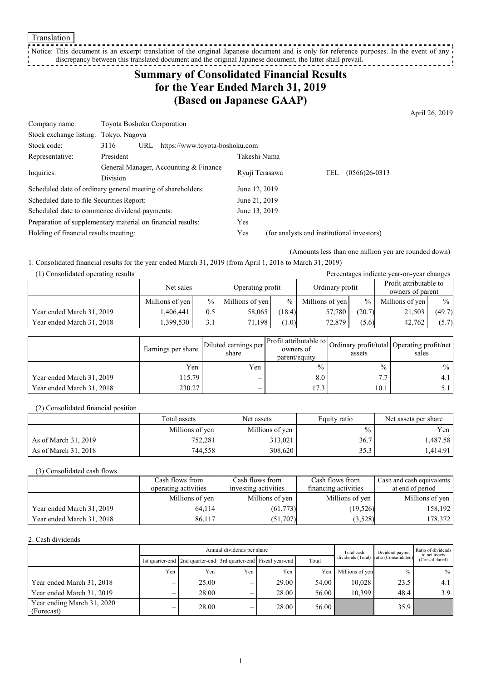Translation

<u>-----------</u> Notice: This document is an excerpt translation of the original Japanese document and is only for reference purposes. In the event of any discrepancy between this translated document and the original Japanese document, the latter shall prevail. . . . . . . . . . . . .

# **Summary of Consolidated Financial Results for the Year Ended March 31, 2019 (Based on Japanese GAAP)**

April 26, 2019

| Company name:                                 | Toyota Boshoku Corporation                                  |                |                                            |  |
|-----------------------------------------------|-------------------------------------------------------------|----------------|--------------------------------------------|--|
| Stock exchange listing: Tokyo, Nagoya         |                                                             |                |                                            |  |
| Stock code:                                   | https://www.toyota-boshoku.com<br>3116<br>URL               |                |                                            |  |
| Representative:                               | President                                                   | Takeshi Numa   |                                            |  |
| Inquiries:                                    | General Manager, Accounting & Finance                       | Ryuji Terasawa | $(0566)26-0313$<br>TEL                     |  |
|                                               | Division                                                    |                |                                            |  |
|                                               | Scheduled date of ordinary general meeting of shareholders: | June 12, 2019  |                                            |  |
| Scheduled date to file Securities Report:     |                                                             | June 21, 2019  |                                            |  |
| Scheduled date to commence dividend payments: |                                                             | June 13, 2019  |                                            |  |
|                                               | Preparation of supplementary material on financial results: | Yes            |                                            |  |
| Holding of financial results meeting:         |                                                             | Yes            | (for analysts and institutional investors) |  |

(Amounts less than one million yen are rounded down)

1. Consolidated financial results for the year ended March 31, 2019 (from April 1, 2018 to March 31, 2019)

| (1) Consolidated operating results<br>Percentages indicate year-on-year changes |                 |               |                  |        |                 |               |                                            |               |
|---------------------------------------------------------------------------------|-----------------|---------------|------------------|--------|-----------------|---------------|--------------------------------------------|---------------|
|                                                                                 | Net sales       |               | Operating profit |        | Ordinary profit |               | Profit attributable to<br>owners of parent |               |
|                                                                                 | Millions of yen | $\frac{0}{0}$ | Millions of yen  | $\%$   | Millions of yen | $\frac{0}{0}$ | Millions of yen                            | $\frac{0}{0}$ |
| Year ended March 31, 2019                                                       | .406.441        | 0.5           | 58,065           | (18.4) | 57,780          | (20.7)        | 21,503                                     | (49.7)        |
| Year ended March 31, 2018                                                       | ,399,530        | 3.1           | 71.198           | 1.0)   | 72,879          | (5.6)         | 42.762                                     | (5.7)         |

|                           | Earnings per share | Diluted earnings per<br>share | parent/equity | assets        | Arr Profit attributable to Ordinary profit/total Operating profit/net<br>sales |
|---------------------------|--------------------|-------------------------------|---------------|---------------|--------------------------------------------------------------------------------|
|                           | Yen                | Yen.                          | $\frac{0}{0}$ | $\frac{0}{0}$ | $\%$                                                                           |
| Year ended March 31, 2019 | 115.79             |                               | 8.0           | 7.7           | 4.1                                                                            |
| Year ended March 31, 2018 | 230.27             |                               | 17.3          | 10.1          | $5.1 -$                                                                        |

(2) Consolidated financial position

|                      | Total assets    | Net assets      | Equity ratio  | Net assets per share |
|----------------------|-----------------|-----------------|---------------|----------------------|
|                      | Millions of yen | Millions of yen | $\frac{0}{0}$ | Yen                  |
| As of March 31, 2019 | 752,281         | 313,021         | 36.7          | 1,487.58             |
| As of March 31, 2018 | 744.558         | 308,620         | 35.3          | .414.91              |

(3) Consolidated cash flows

|                           | Cash flows from      | Cash flows from      | Cash flows from      | Cash and cash equivalents |
|---------------------------|----------------------|----------------------|----------------------|---------------------------|
|                           | operating activities | investing activities | financing activities | at end of period          |
|                           | Millions of yen      | Millions of yen      | Millions of yen      | Millions of yen           |
| Year ended March 31, 2019 | 64,114               | (61, 773)            | (19,526)             | 158,192                   |
| Year ended March 31, 2018 | 86,117               | (51,707)             | (3,528)              | 178,372                   |

#### 2. Cash dividends

|                                          | Annual dividends per share |                                                                       |     | Total cash | Dividend payout | Ratio of dividends<br>to net assets |                      |                |
|------------------------------------------|----------------------------|-----------------------------------------------------------------------|-----|------------|-----------------|-------------------------------------|----------------------|----------------|
|                                          |                            | 1st quarter-end   2nd quarter-end   3rd quarter-end   Fiscal year-end |     |            | Total           | dividends (Total)                   | ratio (Consolidated) | (Consolidated) |
|                                          | Yen                        | Yen                                                                   | Yen | Yen        | Yen             | Millions of yen                     | $\frac{0}{0}$        | $\%$           |
| Year ended March 31, 2018                | —                          | 25.00                                                                 |     | 29.00      | 54.00           | 10.028                              | 23.5                 | 4.1            |
| Year ended March 31, 2019                | $\hspace{0.05cm}$          | 28.00                                                                 |     | 28.00      | 56.00           | 10.399                              | 48.4                 | 3.9            |
| Year ending March 31, 2020<br>(Forecast) | —                          | 28.00                                                                 |     | 28.00      | 56.00           |                                     | 35.9                 |                |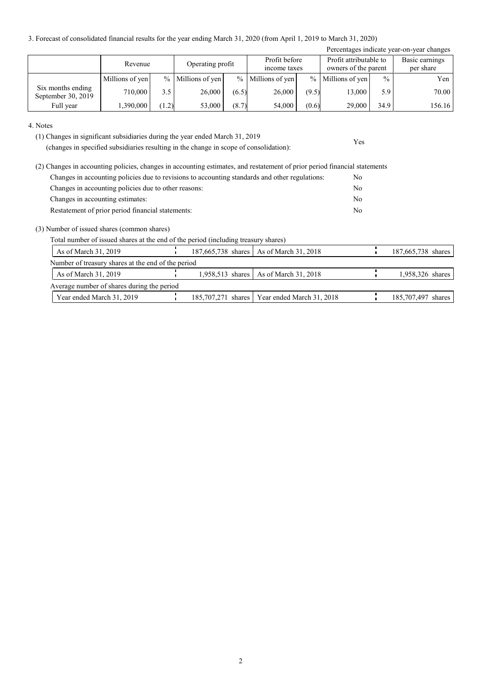3. Forecast of consolidated financial results for the year ending March 31, 2020 (from April 1, 2019 to March 31, 2020)

| Percentages indicate year-on-year changes |                             |       |                     |       |                     |       |                     |               |                               |  |                                                |  |                             |
|-------------------------------------------|-----------------------------|-------|---------------------|-------|---------------------|-------|---------------------|---------------|-------------------------------|--|------------------------------------------------|--|-----------------------------|
|                                           | Operating profit<br>Revenue |       |                     |       |                     |       |                     |               | Profit before<br>income taxes |  | Profit attributable to<br>owners of the parent |  | Basic earnings<br>per share |
|                                           | Millions of yen             |       | $%$ Millions of yen |       | $%$ Millions of yen |       | $%$ Millions of yen | $\frac{0}{0}$ | Yen                           |  |                                                |  |                             |
| Six months ending<br>September 30, 2019   | 710,000                     | 3.5   | 26,000              | (6.5) | 26,000              | (9.5) | 13,000              | 5.9           | 70.00                         |  |                                                |  |                             |
| Full year                                 | 1,390,000                   | (1.2) | 53,000              | (8.7) | 54,000              | (0.6) | 29,000              | 34.9          | 156.16                        |  |                                                |  |                             |

Yes

4. Notes

(1) Changes in significant subsidiaries during the year ended March 31, 2019

(changes in specified subsidiaries resulting in the change in scope of consolidation):

|                                                      | (2) Changes in accounting policies, changes in accounting estimates, and restatement of prior period financial statements |    |
|------------------------------------------------------|---------------------------------------------------------------------------------------------------------------------------|----|
|                                                      | Changes in accounting policies due to revisions to accounting standards and other regulations:                            | No |
| Changes in accounting policies due to other reasons: |                                                                                                                           | No |
| Changes in accounting estimates:                     |                                                                                                                           | No |
| Restatement of prior period financial statements:    |                                                                                                                           | No |

(3) Number of issued shares (common shares)

Total number of issued shares at the end of the period (including treasury shares)

| As of March 31, 2019                               |  | 187,665,738 shares   As of March 31, 2018      | 187,665,738 shares |
|----------------------------------------------------|--|------------------------------------------------|--------------------|
| Number of treasury shares at the end of the period |  |                                                |                    |
| As of March 31, 2019                               |  | 1,958,513 shares   As of March 31, 2018        | 1,958,326 shares   |
| Average number of shares during the period         |  |                                                |                    |
| Year ended March 31, 2019                          |  | 185,707,271 shares   Year ended March 31, 2018 | 185,707,497 shares |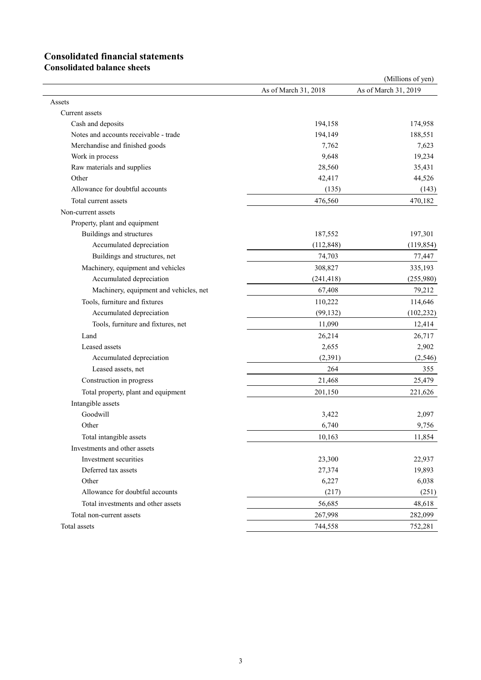## **Consolidated financial statements**

**Consolidated balance sheets**

|                                        |                      | (Millions of yen)    |
|----------------------------------------|----------------------|----------------------|
|                                        | As of March 31, 2018 | As of March 31, 2019 |
| Assets                                 |                      |                      |
| Current assets                         |                      |                      |
| Cash and deposits                      | 194,158              | 174,958              |
| Notes and accounts receivable - trade  | 194,149              | 188,551              |
| Merchandise and finished goods         | 7,762                | 7,623                |
| Work in process                        | 9,648                | 19,234               |
| Raw materials and supplies             | 28,560               | 35,431               |
| Other                                  | 42,417               | 44,526               |
| Allowance for doubtful accounts        | (135)                | (143)                |
| Total current assets                   | 476,560              | 470,182              |
| Non-current assets                     |                      |                      |
| Property, plant and equipment          |                      |                      |
| Buildings and structures               | 187,552              | 197,301              |
| Accumulated depreciation               | (112, 848)           | (119, 854)           |
| Buildings and structures, net          | 74,703               | 77,447               |
| Machinery, equipment and vehicles      | 308,827              | 335,193              |
| Accumulated depreciation               | (241, 418)           | (255,980)            |
| Machinery, equipment and vehicles, net | 67,408               | 79,212               |
| Tools, furniture and fixtures          | 110,222              | 114,646              |
| Accumulated depreciation               | (99, 132)            | (102, 232)           |
| Tools, furniture and fixtures, net     | 11,090               | 12,414               |
| Land                                   | 26,214               | 26,717               |
| Leased assets                          | 2,655                | 2,902                |
| Accumulated depreciation               | (2, 391)             | (2, 546)             |
| Leased assets, net                     | 264                  | 355                  |
| Construction in progress               | 21,468               | 25,479               |
| Total property, plant and equipment    | 201,150              | 221,626              |
| Intangible assets                      |                      |                      |
| Goodwill                               | 3,422                | 2,097                |
| Other                                  | 6,740                | 9,756                |
| Total intangible assets                | 10,163               | 11,854               |
| Investments and other assets           |                      |                      |
| Investment securities                  | 23,300               | 22,937               |
| Deferred tax assets                    | 27,374               | 19,893               |
| Other                                  | 6,227                | 6,038                |
| Allowance for doubtful accounts        | (217)                | (251)                |
| Total investments and other assets     | 56,685               | 48,618               |
| Total non-current assets               | 267,998              | 282,099              |
| Total assets                           | 744,558              | 752,281              |
|                                        |                      |                      |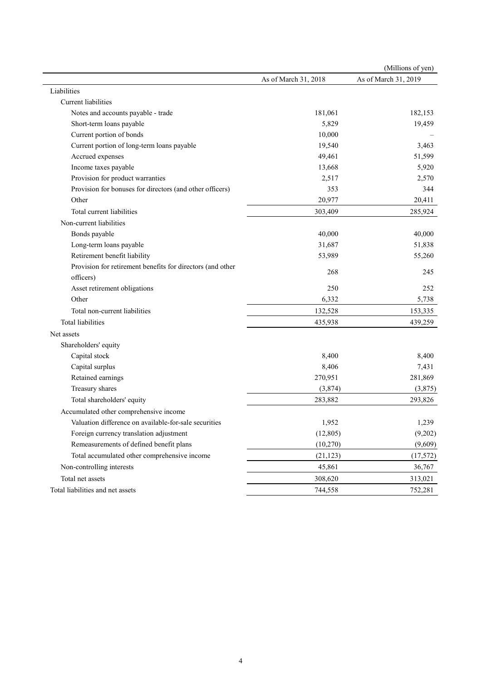|                                                            |                      | (Millions of yen)    |
|------------------------------------------------------------|----------------------|----------------------|
|                                                            | As of March 31, 2018 | As of March 31, 2019 |
| Liabilities                                                |                      |                      |
| Current liabilities                                        |                      |                      |
| Notes and accounts payable - trade                         | 181,061              | 182,153              |
| Short-term loans payable                                   | 5,829                | 19,459               |
| Current portion of bonds                                   | 10,000               |                      |
| Current portion of long-term loans payable                 | 19,540               | 3,463                |
| Accrued expenses                                           | 49,461               | 51,599               |
| Income taxes payable                                       | 13,668               | 5,920                |
| Provision for product warranties                           | 2,517                | 2,570                |
| Provision for bonuses for directors (and other officers)   | 353                  | 344                  |
| Other                                                      | 20,977               | 20,411               |
| Total current liabilities                                  | 303,409              | 285,924              |
| Non-current liabilities                                    |                      |                      |
| Bonds payable                                              | 40,000               | 40,000               |
| Long-term loans payable                                    | 31,687               | 51,838               |
| Retirement benefit liability                               | 53,989               | 55,260               |
| Provision for retirement benefits for directors (and other |                      |                      |
| officers)                                                  | 268                  | 245                  |
| Asset retirement obligations                               | 250                  | 252                  |
| Other                                                      | 6,332                | 5,738                |
| Total non-current liabilities                              | 132,528              | 153,335              |
| Total liabilities                                          | 435,938              | 439,259              |
| Net assets                                                 |                      |                      |
| Shareholders' equity                                       |                      |                      |
| Capital stock                                              | 8,400                | 8,400                |
| Capital surplus                                            | 8,406                | 7,431                |
| Retained earnings                                          | 270,951              | 281,869              |
| Treasury shares                                            | (3,874)              | (3,875)              |
| Total shareholders' equity                                 | 283,882              | 293,826              |
| Accumulated other comprehensive income                     |                      |                      |
| Valuation difference on available-for-sale securities      | 1,952                | 1,239                |
| Foreign currency translation adjustment                    | (12, 805)            | (9,202)              |
| Remeasurements of defined benefit plans                    | (10, 270)            | (9,609)              |
| Total accumulated other comprehensive income               | (21, 123)            | (17, 572)            |
| Non-controlling interests                                  | 45,861               | 36,767               |
| Total net assets                                           | 308,620              | 313,021              |
|                                                            |                      |                      |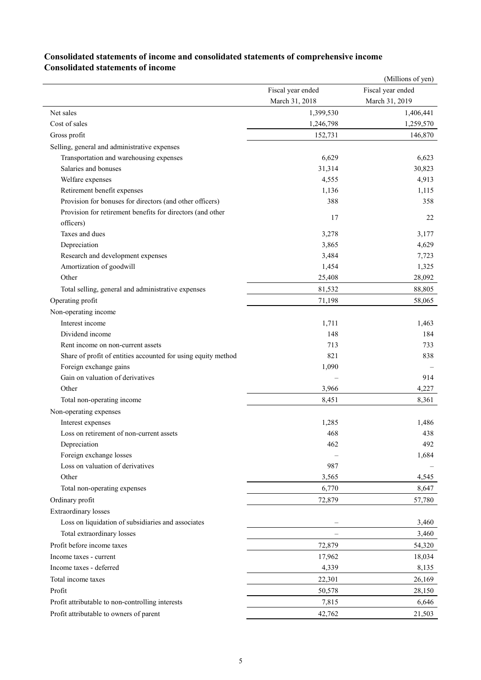|                                                               |                          | (Millions of yen) |
|---------------------------------------------------------------|--------------------------|-------------------|
|                                                               | Fiscal year ended        | Fiscal year ended |
|                                                               | March 31, 2018           | March 31, 2019    |
| Net sales                                                     | 1,399,530                | 1,406,441         |
| Cost of sales                                                 | 1,246,798                | 1,259,570         |
| Gross profit                                                  | 152,731                  | 146,870           |
| Selling, general and administrative expenses                  |                          |                   |
| Transportation and warehousing expenses                       | 6,629                    | 6,623             |
| Salaries and bonuses                                          | 31,314                   | 30,823            |
| Welfare expenses                                              | 4,555                    | 4,913             |
| Retirement benefit expenses                                   | 1,136                    | 1,115             |
| Provision for bonuses for directors (and other officers)      | 388                      | 358               |
| Provision for retirement benefits for directors (and other    | 17                       | 22                |
| officers)                                                     |                          |                   |
| Taxes and dues                                                | 3,278                    | 3,177             |
| Depreciation                                                  | 3,865                    | 4,629             |
| Research and development expenses                             | 3,484                    | 7,723             |
| Amortization of goodwill                                      | 1,454                    | 1,325             |
| Other                                                         | 25,408                   | 28,092            |
| Total selling, general and administrative expenses            | 81,532                   | 88,805            |
| Operating profit                                              | 71,198                   | 58,065            |
| Non-operating income                                          |                          |                   |
| Interest income                                               | 1,711                    | 1,463             |
| Dividend income                                               | 148                      | 184               |
| Rent income on non-current assets                             | 713                      | 733               |
| Share of profit of entities accounted for using equity method | 821                      | 838               |
| Foreign exchange gains                                        | 1,090                    |                   |
| Gain on valuation of derivatives                              |                          | 914               |
| Other                                                         | 3,966                    | 4,227             |
| Total non-operating income                                    | 8,451                    | 8,361             |
| Non-operating expenses                                        |                          |                   |
| Interest expenses                                             | 1,285                    | 1,486             |
| Loss on retirement of non-current assets                      | 468                      | 438               |
| Depreciation                                                  | 462                      | 492               |
| Foreign exchange losses                                       |                          | 1,684             |
| Loss on valuation of derivatives                              | 987                      |                   |
| Other                                                         | 3,565                    | 4,545             |
| Total non-operating expenses                                  | 6,770                    | 8,647             |
| Ordinary profit                                               | 72,879                   | 57,780            |
| <b>Extraordinary losses</b>                                   |                          |                   |
| Loss on liquidation of subsidiaries and associates            |                          | 3,460             |
| Total extraordinary losses                                    | $\overline{\phantom{m}}$ | 3,460             |
| Profit before income taxes                                    | 72,879                   | 54,320            |
| Income taxes - current                                        | 17,962                   | 18,034            |
| Income taxes - deferred                                       | 4,339                    | 8,135             |
| Total income taxes                                            | 22,301                   | 26,169            |
| Profit                                                        | 50,578                   | 28,150            |
|                                                               |                          | 6,646             |
| Profit attributable to non-controlling interests              | 7,815                    |                   |
| Profit attributable to owners of parent                       | 42,762                   | 21,503            |

### **Consolidated statements of income and consolidated statements of comprehensive income Consolidated statements of income**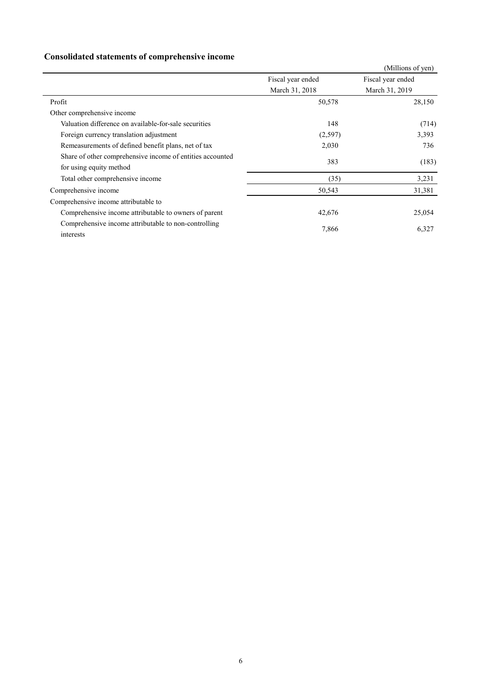## **Consolidated statements of comprehensive income**

|                                                                                      |                   | (Millions of yen) |
|--------------------------------------------------------------------------------------|-------------------|-------------------|
|                                                                                      | Fiscal year ended | Fiscal year ended |
|                                                                                      | March 31, 2018    | March 31, 2019    |
| Profit                                                                               | 50,578            | 28,150            |
| Other comprehensive income                                                           |                   |                   |
| Valuation difference on available-for-sale securities                                | 148               | (714)             |
| Foreign currency translation adjustment                                              | (2, 597)          | 3,393             |
| Remeasurements of defined benefit plans, net of tax                                  | 2,030             | 736               |
| Share of other comprehensive income of entities accounted<br>for using equity method | 383               | (183)             |
| Total other comprehensive income                                                     | (35)              | 3,231             |
| Comprehensive income                                                                 | 50,543            | 31,381            |
| Comprehensive income attributable to                                                 |                   |                   |
| Comprehensive income attributable to owners of parent                                | 42,676            | 25,054            |
| Comprehensive income attributable to non-controlling<br>interests                    | 7,866             | 6,327             |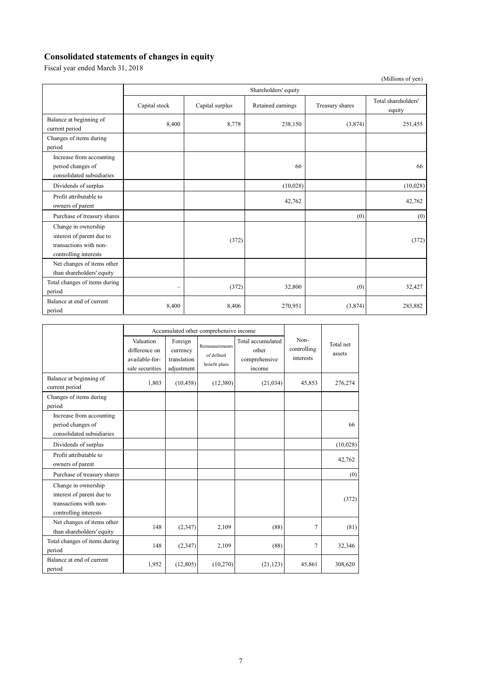## **Consolidated statements of changes in equity**

Fiscal year ended March 31, 2018

|                                                                                                     |                      |                 |                   |                 | (Millions of yen)             |  |  |  |
|-----------------------------------------------------------------------------------------------------|----------------------|-----------------|-------------------|-----------------|-------------------------------|--|--|--|
|                                                                                                     | Shareholders' equity |                 |                   |                 |                               |  |  |  |
|                                                                                                     | Capital stock        | Capital surplus | Retained earnings | Treasury shares | Total shareholders'<br>equity |  |  |  |
| Balance at beginning of<br>current period                                                           | 8,400                | 8,778           | 238,150           | (3,874)         | 251,455                       |  |  |  |
| Changes of items during<br>period                                                                   |                      |                 |                   |                 |                               |  |  |  |
| Increase from accounting<br>period changes of<br>consolidated subsidiaries                          |                      |                 | 66                |                 | 66                            |  |  |  |
| Dividends of surplus                                                                                |                      |                 | (10,028)          |                 | (10,028)                      |  |  |  |
| Profit attributable to<br>owners of parent                                                          |                      |                 | 42,762            |                 | 42,762                        |  |  |  |
| Purchase of treasury shares                                                                         |                      |                 |                   | (0)             | (0)                           |  |  |  |
| Change in ownership<br>interest of parent due to<br>transactions with non-<br>controlling interests |                      | (372)           |                   |                 | (372)                         |  |  |  |
| Net changes of items other<br>than shareholders' equity                                             |                      |                 |                   |                 |                               |  |  |  |
| Total changes of items during<br>period                                                             | -                    | (372)           | 32,800            | (0)             | 32,427                        |  |  |  |
| Balance at end of current<br>period                                                                 | 8,400                | 8,406           | 270,951           | (3,874)         | 283,882                       |  |  |  |

|                                                                                                     |                                                                 |                                                  | Accumulated other comprehensive income        |                                                       |                                  |                     |
|-----------------------------------------------------------------------------------------------------|-----------------------------------------------------------------|--------------------------------------------------|-----------------------------------------------|-------------------------------------------------------|----------------------------------|---------------------|
|                                                                                                     | Valuation<br>difference on<br>available-for-<br>sale securities | Foreign<br>currency<br>translation<br>adjustment | Remeasurements<br>of defined<br>benefit plans | Total accumulated<br>other<br>comprehensive<br>income | Non-<br>controlling<br>interests | Total net<br>assets |
| Balance at beginning of<br>current period                                                           | 1,803                                                           | (10, 458)                                        | (12,380)                                      | (21,034)                                              | 45,853                           | 276,274             |
| Changes of items during<br>period                                                                   |                                                                 |                                                  |                                               |                                                       |                                  |                     |
| Increase from accounting<br>period changes of<br>consolidated subsidiaries                          |                                                                 |                                                  |                                               |                                                       |                                  | 66                  |
| Dividends of surplus                                                                                |                                                                 |                                                  |                                               |                                                       |                                  | (10,028)            |
| Profit attributable to<br>owners of parent                                                          |                                                                 |                                                  |                                               |                                                       |                                  | 42,762              |
| Purchase of treasury shares                                                                         |                                                                 |                                                  |                                               |                                                       |                                  | (0)                 |
| Change in ownership<br>interest of parent due to<br>transactions with non-<br>controlling interests |                                                                 |                                                  |                                               |                                                       |                                  | (372)               |
| Net changes of items other<br>than shareholders' equity                                             | 148                                                             | (2,347)                                          | 2,109                                         | (88)                                                  | 7                                | (81)                |
| Total changes of items during<br>period                                                             | 148                                                             | (2,347)                                          | 2,109                                         | (88)                                                  | $\tau$                           | 32,346              |
| Balance at end of current<br>period                                                                 | 1,952                                                           | (12, 805)                                        | (10,270)                                      | (21, 123)                                             | 45,861                           | 308,620             |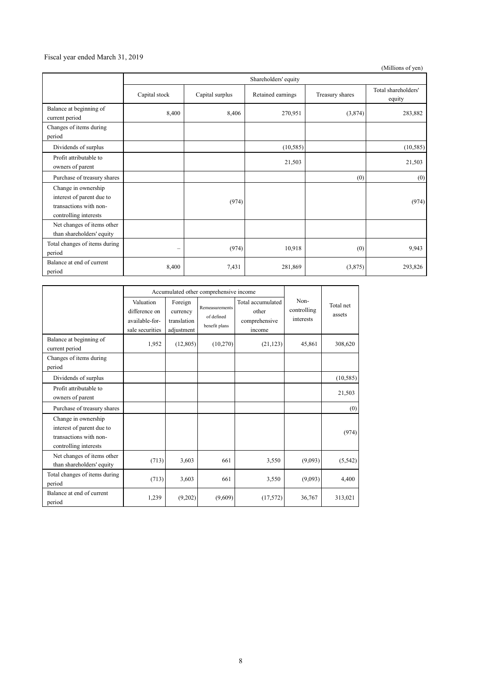#### Fiscal year ended March 31, 2019

(Millions of yen)

|                                                                                                     |                   | Shareholders' equity |                   |                 |                               |  |  |  |
|-----------------------------------------------------------------------------------------------------|-------------------|----------------------|-------------------|-----------------|-------------------------------|--|--|--|
|                                                                                                     | Capital stock     | Capital surplus      | Retained earnings | Treasury shares | Total shareholders'<br>equity |  |  |  |
| Balance at beginning of<br>current period                                                           | 8,400             | 8,406                | 270,951           | (3,874)         | 283,882                       |  |  |  |
| Changes of items during<br>period                                                                   |                   |                      |                   |                 |                               |  |  |  |
| Dividends of surplus                                                                                |                   |                      | (10, 585)         |                 | (10, 585)                     |  |  |  |
| Profit attributable to<br>owners of parent                                                          |                   |                      | 21,503            |                 | 21,503                        |  |  |  |
| Purchase of treasury shares                                                                         |                   |                      |                   | (0)             | (0)                           |  |  |  |
| Change in ownership<br>interest of parent due to<br>transactions with non-<br>controlling interests |                   | (974)                |                   |                 | (974)                         |  |  |  |
| Net changes of items other<br>than shareholders' equity                                             |                   |                      |                   |                 |                               |  |  |  |
| Total changes of items during<br>period                                                             | $\qquad \qquad -$ | (974)                | 10,918            | (0)             | 9,943                         |  |  |  |
| Balance at end of current<br>period                                                                 | 8,400             | 7,431                | 281,869           | (3,875)         | 293,826                       |  |  |  |

|                                                                                                     |                                                                 |                                                  | Accumulated other comprehensive income        |                                                       |                                  | Total net<br>assets |
|-----------------------------------------------------------------------------------------------------|-----------------------------------------------------------------|--------------------------------------------------|-----------------------------------------------|-------------------------------------------------------|----------------------------------|---------------------|
|                                                                                                     | Valuation<br>difference on<br>available-for-<br>sale securities | Foreign<br>currency<br>translation<br>adjustment | Remeasurements<br>of defined<br>benefit plans | Total accumulated<br>other<br>comprehensive<br>income | Non-<br>controlling<br>interests |                     |
| Balance at beginning of<br>current period                                                           | 1,952                                                           | (12,805)                                         | (10,270)                                      | (21, 123)                                             | 45,861                           | 308,620             |
| Changes of items during<br>period                                                                   |                                                                 |                                                  |                                               |                                                       |                                  |                     |
| Dividends of surplus                                                                                |                                                                 |                                                  |                                               |                                                       |                                  | (10, 585)           |
| Profit attributable to<br>owners of parent                                                          |                                                                 |                                                  |                                               |                                                       |                                  | 21,503              |
| Purchase of treasury shares                                                                         |                                                                 |                                                  |                                               |                                                       |                                  | (0)                 |
| Change in ownership<br>interest of parent due to<br>transactions with non-<br>controlling interests |                                                                 |                                                  |                                               |                                                       |                                  | (974)               |
| Net changes of items other<br>than shareholders' equity                                             | (713)                                                           | 3,603                                            | 661                                           | 3,550                                                 | (9,093)                          | (5, 542)            |
| Total changes of items during<br>period                                                             | (713)                                                           | 3,603                                            | 661                                           | 3,550                                                 | (9,093)                          | 4,400               |
| Balance at end of current<br>period                                                                 | 1,239                                                           | (9,202)                                          | (9,609)                                       | (17, 572)                                             | 36,767                           | 313,021             |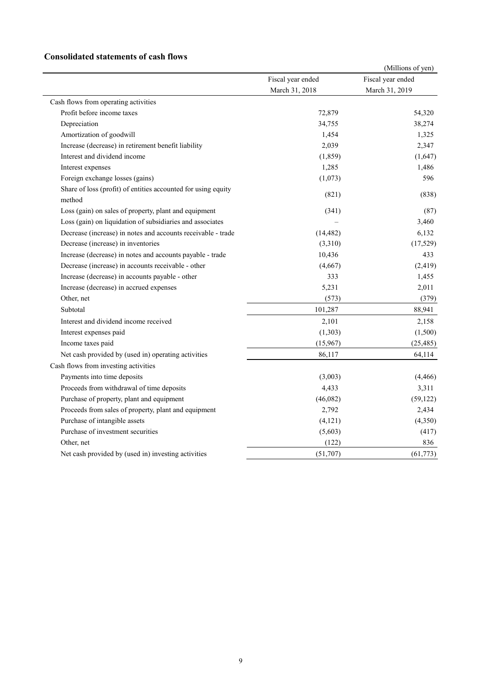### **Consolidated statements of cash flows**

|                                                                         |                   | (Millions of yen) |
|-------------------------------------------------------------------------|-------------------|-------------------|
|                                                                         | Fiscal year ended | Fiscal year ended |
|                                                                         | March 31, 2018    | March 31, 2019    |
| Cash flows from operating activities                                    |                   |                   |
| Profit before income taxes                                              | 72,879            | 54,320            |
| Depreciation                                                            | 34,755            | 38,274            |
| Amortization of goodwill                                                | 1,454             | 1,325             |
| Increase (decrease) in retirement benefit liability                     | 2,039             | 2,347             |
| Interest and dividend income                                            | (1, 859)          | (1,647)           |
| Interest expenses                                                       | 1,285             | 1,486             |
| Foreign exchange losses (gains)                                         | (1,073)           | 596               |
| Share of loss (profit) of entities accounted for using equity<br>method | (821)             | (838)             |
| Loss (gain) on sales of property, plant and equipment                   | (341)             | (87)              |
| Loss (gain) on liquidation of subsidiaries and associates               |                   | 3,460             |
| Decrease (increase) in notes and accounts receivable - trade            | (14, 482)         | 6,132             |
| Decrease (increase) in inventories                                      | (3,310)           | (17, 529)         |
| Increase (decrease) in notes and accounts payable - trade               | 10,436            | 433               |
| Decrease (increase) in accounts receivable - other                      | (4,667)           | (2, 419)          |
| Increase (decrease) in accounts payable - other                         | 333               | 1,455             |
| Increase (decrease) in accrued expenses                                 | 5,231             | 2,011             |
| Other, net                                                              | (573)             | (379)             |
| Subtotal                                                                | 101,287           | 88,941            |
| Interest and dividend income received                                   | 2,101             | 2,158             |
| Interest expenses paid                                                  | (1,303)           | (1,500)           |
| Income taxes paid                                                       | (15,967)          | (25, 485)         |
| Net cash provided by (used in) operating activities                     | 86,117            | 64,114            |
| Cash flows from investing activities                                    |                   |                   |
| Payments into time deposits                                             | (3,003)           | (4, 466)          |
| Proceeds from withdrawal of time deposits                               | 4,433             | 3,311             |
| Purchase of property, plant and equipment                               | (46,082)          | (59, 122)         |
| Proceeds from sales of property, plant and equipment                    | 2,792             | 2,434             |
| Purchase of intangible assets                                           | (4, 121)          | (4,350)           |
| Purchase of investment securities                                       | (5,603)           | (417)             |
| Other, net                                                              | (122)             | 836               |
| Net cash provided by (used in) investing activities                     | (51,707)          | (61, 773)         |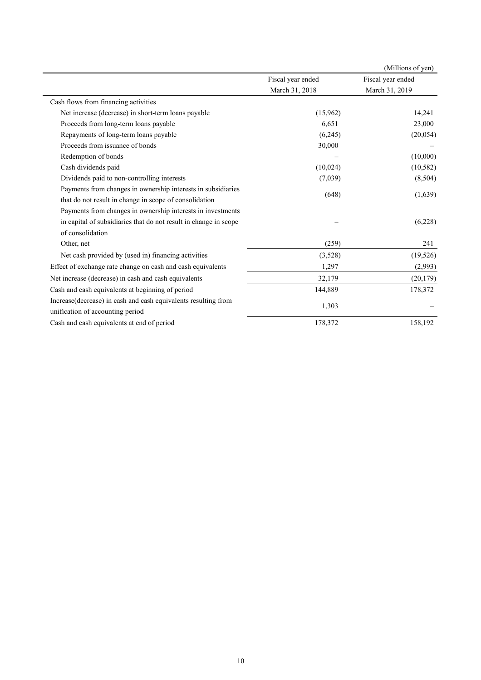|                                                                                |                   | (Millions of yen) |
|--------------------------------------------------------------------------------|-------------------|-------------------|
|                                                                                | Fiscal year ended | Fiscal year ended |
|                                                                                | March 31, 2018    | March 31, 2019    |
| Cash flows from financing activities                                           |                   |                   |
| Net increase (decrease) in short-term loans payable                            | (15,962)          | 14,241            |
| Proceeds from long-term loans payable                                          | 6,651             | 23,000            |
| Repayments of long-term loans payable                                          | (6,245)           | (20, 054)         |
| Proceeds from issuance of bonds                                                | 30,000            |                   |
| Redemption of bonds                                                            |                   | (10,000)          |
| Cash dividends paid                                                            | (10,024)          | (10, 582)         |
| Dividends paid to non-controlling interests                                    | (7,039)           | (8,504)           |
| Payments from changes in ownership interests in subsidiaries                   |                   |                   |
| that do not result in change in scope of consolidation                         | (648)             | (1,639)           |
| Payments from changes in ownership interests in investments                    |                   |                   |
| in capital of subsidiaries that do not result in change in scope               |                   | (6,228)           |
| of consolidation                                                               |                   |                   |
| Other, net                                                                     | (259)             | 241               |
| Net cash provided by (used in) financing activities                            | (3,528)           | (19, 526)         |
| Effect of exchange rate change on cash and cash equivalents                    | 1,297             | (2,993)           |
| Net increase (decrease) in cash and cash equivalents                           | 32,179            | (20, 179)         |
| Cash and cash equivalents at beginning of period                               | 144,889           | 178,372           |
| Increase(decrease) in cash and cash equivalents resulting from                 | 1,303             |                   |
| unification of accounting period<br>Cash and cash equivalents at end of period | 178,372           | 158,192           |